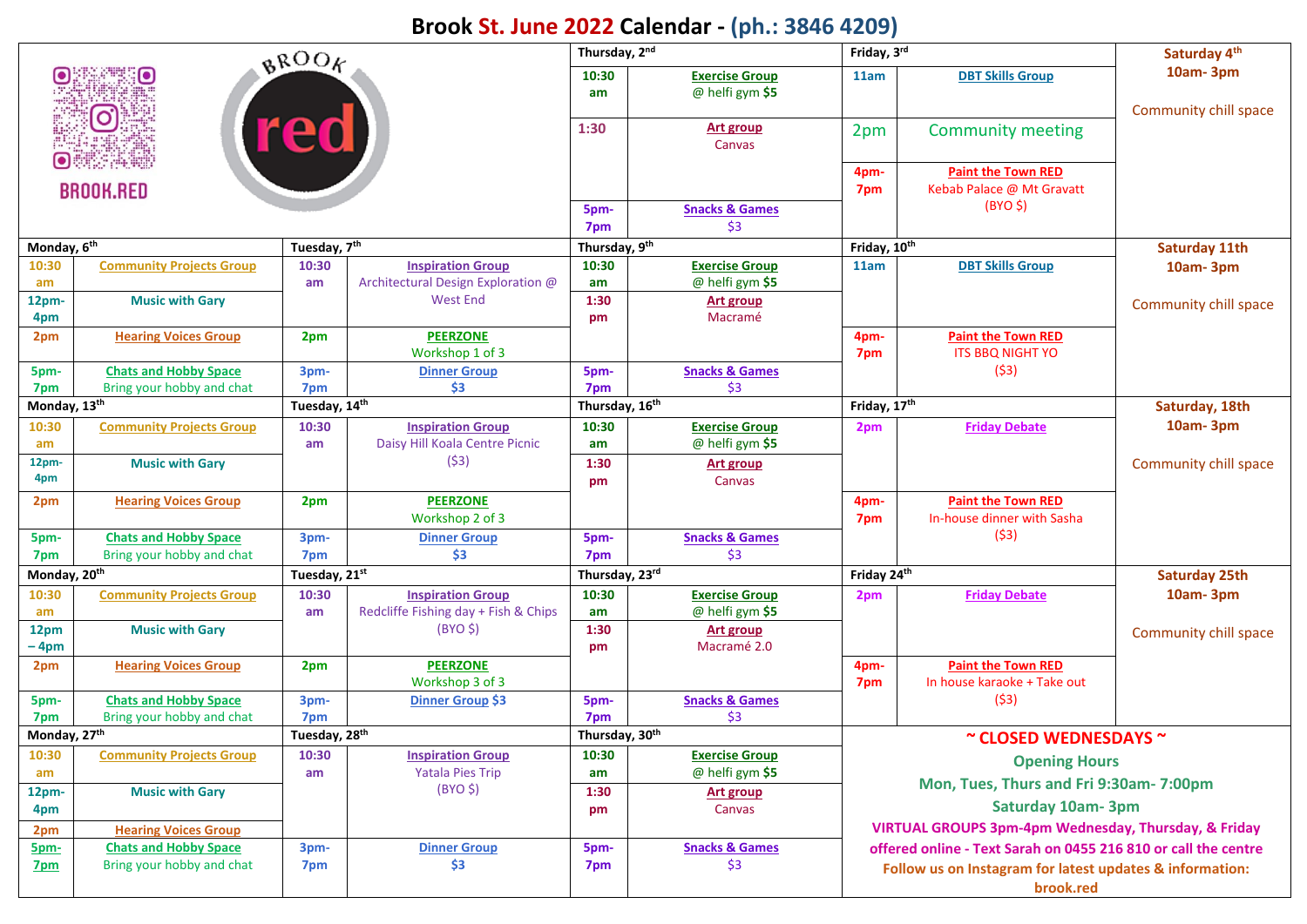## **Brook St. June 2022 Calendar - (ph.: 3846 4209)**

| BROOK                    |                                 |                           |                                      | Thursday, 2nd  |                                          | Friday, 3rd                                              |                                                                 | Saturday 4 <sup>th</sup> |  |  |
|--------------------------|---------------------------------|---------------------------|--------------------------------------|----------------|------------------------------------------|----------------------------------------------------------|-----------------------------------------------------------------|--------------------------|--|--|
|                          |                                 |                           |                                      |                | <b>Exercise Group</b><br>@ helfi gym \$5 | 11am                                                     | <b>DBT Skills Group</b>                                         | 10am-3pm                 |  |  |
|                          | $\boxed{\textcircled{\;}}$      |                           |                                      | 1:30           |                                          |                                                          |                                                                 | Community chill space    |  |  |
| red                      |                                 |                           |                                      |                | <b>Art group</b><br>Canvas               | 2pm                                                      | <b>Community meeting</b>                                        |                          |  |  |
|                          |                                 |                           |                                      |                |                                          | 4pm-                                                     | <b>Paint the Town RED</b>                                       |                          |  |  |
| <b>BROOK.RED</b>         |                                 |                           |                                      |                |                                          | 7pm                                                      | Kebab Palace @ Mt Gravatt                                       |                          |  |  |
|                          |                                 |                           |                                      | 5pm-           | <b>Snacks &amp; Games</b>                |                                                          | $(BYO \, \xi)$                                                  |                          |  |  |
|                          |                                 |                           |                                      | 7pm            | \$3                                      |                                                          |                                                                 |                          |  |  |
| Monday, 6 <sup>th</sup>  |                                 | Tuesday, 7th              |                                      | Thursday, 9th  |                                          | Friday, 10th                                             |                                                                 | <b>Saturday 11th</b>     |  |  |
| 10:30                    | <b>Community Projects Group</b> | 10:30                     | <b>Inspiration Group</b>             | 10:30          | <b>Exercise Group</b>                    | 11am                                                     | <b>DBT Skills Group</b>                                         | $10am - 3pm$             |  |  |
| am                       |                                 | am                        | Architectural Design Exploration @   | am             | @ helfi gym \$5                          |                                                          |                                                                 |                          |  |  |
| 12pm-                    | <b>Music with Gary</b>          |                           | West End                             | 1:30           | <b>Art group</b>                         |                                                          |                                                                 | Community chill space    |  |  |
| 4pm                      |                                 |                           |                                      | pm             | Macramé                                  |                                                          |                                                                 |                          |  |  |
| 2pm                      | <b>Hearing Voices Group</b>     | 2pm                       | <b>PEERZONE</b>                      |                |                                          | 4pm-                                                     | <b>Paint the Town RED</b>                                       |                          |  |  |
|                          |                                 |                           | Workshop 1 of 3                      |                |                                          | 7pm                                                      | <b>ITS BBQ NIGHT YO</b>                                         |                          |  |  |
| 5pm-                     | <b>Chats and Hobby Space</b>    | 3pm-                      | <b>Dinner Group</b>                  | 5pm-           | <b>Snacks &amp; Games</b>                |                                                          | (53)                                                            |                          |  |  |
| 7pm                      | Bring your hobby and chat       | 7pm                       | \$3                                  | 7pm            | \$3                                      |                                                          |                                                                 |                          |  |  |
| Monday, 13 <sup>th</sup> |                                 | Tuesday, 14th             |                                      | Thursday, 16th |                                          | Friday, 17th                                             |                                                                 | Saturday, 18th           |  |  |
| 10:30                    | <b>Community Projects Group</b> | 10:30                     | <b>Inspiration Group</b>             | 10:30          | <b>Exercise Group</b>                    | 2pm                                                      | <b>Friday Debate</b>                                            | 10am-3pm                 |  |  |
| am                       |                                 | am                        | Daisy Hill Koala Centre Picnic       | am             | @ helfi gym \$5                          |                                                          |                                                                 |                          |  |  |
| 12pm-                    | <b>Music with Gary</b>          |                           | (53)                                 | 1:30           | <b>Art group</b>                         |                                                          |                                                                 | Community chill space    |  |  |
| 4pm                      |                                 |                           |                                      | pm             | Canvas                                   |                                                          |                                                                 |                          |  |  |
| 2pm                      | <b>Hearing Voices Group</b>     | 2pm                       | <b>PEERZONE</b>                      |                |                                          | 4pm-                                                     | <b>Paint the Town RED</b>                                       |                          |  |  |
|                          |                                 |                           | Workshop 2 of 3                      |                |                                          | 7pm                                                      | In-house dinner with Sasha                                      |                          |  |  |
| 5pm-                     | <b>Chats and Hobby Space</b>    | 3pm-                      | <b>Dinner Group</b>                  | 5pm-           | <b>Snacks &amp; Games</b>                |                                                          | (53)                                                            |                          |  |  |
| 7pm                      | Bring your hobby and chat       | 7pm                       | \$3                                  | 7pm            | \$3                                      |                                                          |                                                                 |                          |  |  |
| Monday, 20 <sup>th</sup> |                                 | Tuesday, 21st             |                                      | Thursday, 23rd |                                          | Friday 24th                                              |                                                                 | <b>Saturday 25th</b>     |  |  |
| 10:30                    | <b>Community Projects Group</b> | 10:30                     | <b>Inspiration Group</b>             | 10:30          | <b>Exercise Group</b>                    | 2pm                                                      | <b>Friday Debate</b>                                            | $10am - 3pm$             |  |  |
| am                       |                                 | am                        | Redcliffe Fishing day + Fish & Chips | am             | @ helfi gym \$5                          |                                                          |                                                                 |                          |  |  |
| 12pm                     | <b>Music with Gary</b>          |                           | $(BYO \, \xi)$                       | 1:30           | Art group                                |                                                          |                                                                 | Community chill space    |  |  |
| – 4pm                    |                                 |                           |                                      | pm             | Macramé 2.0                              |                                                          |                                                                 |                          |  |  |
| 2pm                      | <b>Hearing Voices Group</b>     | 2pm                       | <b>PEERZONE</b>                      |                |                                          | 4pm-                                                     | <b>Paint the Town RED</b>                                       |                          |  |  |
|                          |                                 |                           | Workshop 3 of 3                      |                |                                          | 7pm                                                      | In house karaoke + Take out                                     |                          |  |  |
| 5pm-                     | <b>Chats and Hobby Space</b>    | 3pm-                      | <b>Dinner Group \$3</b>              | 5pm-           | <b>Snacks &amp; Games</b>                |                                                          | (53)                                                            |                          |  |  |
| 7pm                      | Bring your hobby and chat       | 7pm                       |                                      | 7pm            | \$3                                      |                                                          |                                                                 |                          |  |  |
| Monday, 27 <sup>th</sup> |                                 | Tuesday, 28 <sup>th</sup> |                                      | Thursday, 30th |                                          | ~ CLOSED WEDNESDAYS ~                                    |                                                                 |                          |  |  |
| 10:30                    | <b>Community Projects Group</b> | 10:30                     | <b>Inspiration Group</b>             | 10:30          | <b>Exercise Group</b>                    |                                                          |                                                                 |                          |  |  |
| am                       |                                 | am                        | <b>Yatala Pies Trip</b>              | am             | @ helfi gym \$5                          |                                                          | <b>Opening Hours</b>                                            |                          |  |  |
| 12pm-                    | <b>Music with Gary</b>          |                           | $(BYO \, \xi)$                       | 1:30           | <b>Art group</b>                         |                                                          | Mon, Tues, Thurs and Fri 9:30am- 7:00pm                         |                          |  |  |
| 4pm                      |                                 |                           |                                      | pm             | Canvas                                   |                                                          | <b>Saturday 10am-3pm</b>                                        |                          |  |  |
| 2pm                      | <b>Hearing Voices Group</b>     |                           |                                      |                |                                          |                                                          | <b>VIRTUAL GROUPS 3pm-4pm Wednesday, Thursday, &amp; Friday</b> |                          |  |  |
| 5pm-                     | <b>Chats and Hobby Space</b>    | 3pm-                      | <b>Dinner Group</b>                  | 5pm-           | <b>Snacks &amp; Games</b>                |                                                          | offered online - Text Sarah on 0455 216 810 or call the centre  |                          |  |  |
| 7pm                      | Bring your hobby and chat       | 7pm                       | \$3                                  | 7pm            | \$3                                      | Follow us on Instagram for latest updates & information: |                                                                 |                          |  |  |
|                          |                                 |                           |                                      |                |                                          |                                                          |                                                                 |                          |  |  |
|                          |                                 |                           |                                      |                |                                          | brook.red                                                |                                                                 |                          |  |  |